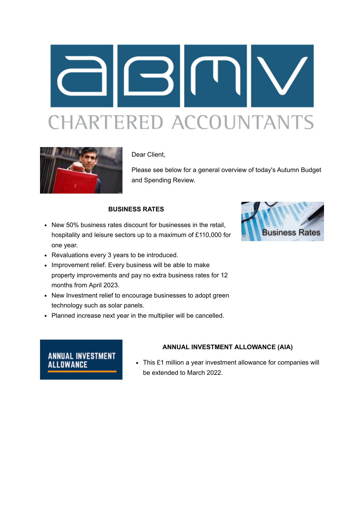



Dear Client,

Please see below for a general overview of today's Autumn Budget and Spending Review.

#### **BUSINESS RATES**

• New 50% business rates discount for businesses in the retail. hospitality and leisure sectors up to a maximum of £110,000 for one year.



- Revaluations every 3 years to be introduced.
- Improvement relief. Every business will be able to make property improvements and pay no extra business rates for 12 months from April 2023.
- New Investment relief to encourage businesses to adopt green technology such as solar panels.
- Planned increase next year in the multiplier will be cancelled.

# **ANNUAL INVESTMENT ALLOWANCE**

#### **ANNUAL INVESTMENT ALLOWANCE (AIA)**

This £1 million a year investment allowance for companies will be extended to March 2022.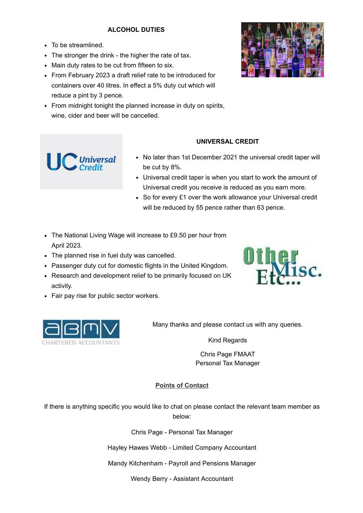## **ALCOHOL DUTIES**

To be streamlined.

 $\bigcup$  Universal

- The stronger the drink the higher the rate of tax.
- Main duty rates to be cut from fifteen to six.
- From February 2023 a draft relief rate to be introduced for containers over 40 litres. In effect a 5% duty cut which will reduce a pint by 3 pence.
- From midnight tonight the planned increase in duty on spirits, wine, cider and beer will be cancelled.



### **UNIVERSAL CREDIT**

- No later than 1st December 2021 the universal credit taper will be cut by 8%.
- Universal credit taper is when you start to work the amount of Universal credit you receive is reduced as you earn more.
- So for every £1 over the work allowance your Universal credit will be reduced by 55 pence rather than 63 pence.
- The National Living Wage will increase to £9.50 per hour from April 2023.
- The planned rise in fuel duty was cancelled.
- Passenger duty cut for domestic flights in the United Kingdom.
- Research and development relief to be primarily focused on UK activity.
- Fair pay rise for public sector workers.





Many thanks and please contact us with any queries.

Kind Regards

Chris Page FMAAT Personal Tax Manager

#### **Points of Contact**

If there is anything specific you would like to chat on please contact the relevant team member as below:

Chris Page - Personal Tax Manager

Hayley Hawes Webb - Limited Company Accountant

Mandy Kitchenham - Payroll and Pensions Manager

Wendy Berry - Assistant Accountant